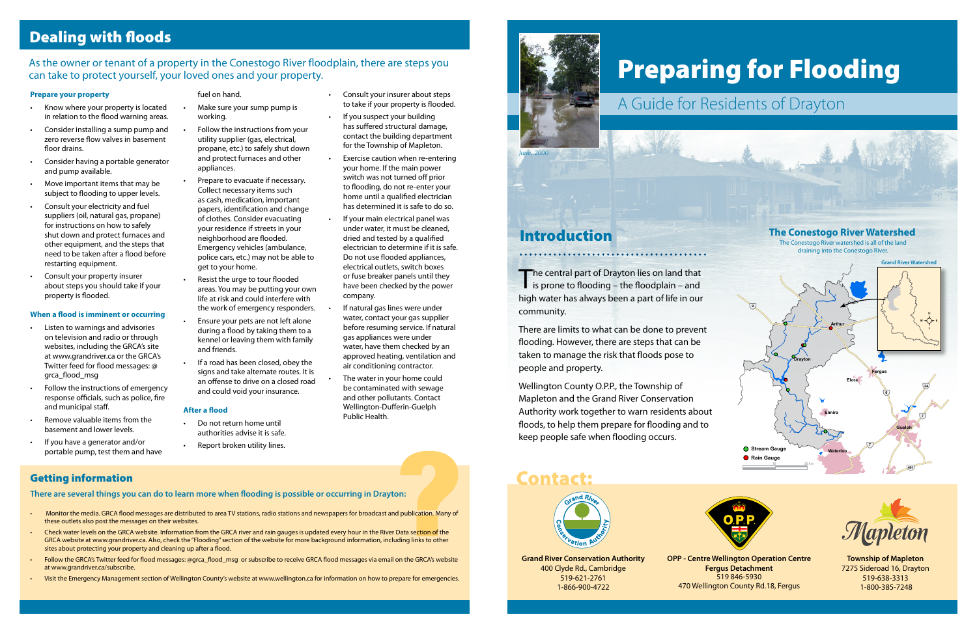# Preparing for Flooding

The central part of Drayton lies on land that<br>is prone to flooding – the floodplain – and high water has always been a part of life in our community.

There are limits to what can be done to prevent flooding. However, there are steps that can be taken to manage the risk that floods pose to people and property.

Wellington County O.P.P., the Township of Mapleton and the Grand River Conservation Authority work together to warn residents about floods, to help them prepare for flooding and to keep people safe when flooding occurs.

# A Guide for Residents of Drayton

**Grand River Conservation Authority** 400 Clyde Rd., Cambridge 519-621-2761 1-866-900-4722

**OPP - Centre Wellington Operation Centre**





**Fergus Detachment** 519 846-5930 470 Wellington County Rd.18, Fergus



**Township of Mapleton** 7275 Sideroad 16, Drayton 519-638-3313 1-800-385-7248

# Contact:





#### **Prepare your property**

- Know where your property is located in relation to the flood warning areas.
- Consider installing a sump pump and zero reverse flow valves in basement floor drains.
- Consider having a portable generator and pump available.
- Move important items that may be subject to flooding to upper levels.
- Consult your electricity and fuel suppliers (oil, natural gas, propane) for instructions on how to safely shut down and protect furnaces and other equipment, and the steps that need to be taken after a flood before restarting equipment.
- Consult your property insurer about steps you should take if your property is flooded.

- Do not return home until authorities advise it is safe.
- Report broken utility lines.

#### **When a flood is imminent or occurring**

- Listen to warnings and advisories on television and radio or through websites, including the GRCA's site at www.grandriver.ca or the GRCA's Twitter feed for flood messages: @ grca\_flood\_msg
- Follow the instructions of emergency response officials, such as police, fire and municipal staff.
- Remove valuable items from the basement and lower levels.
- If you have a generator and/or

#### fuel on hand.

- Make sure your sump pump is working.
- Follow the instructions from your utility supplier (gas, electrical, propane, etc.) to safely shut down and protect furnaces and other appliances.
- Prepare to evacuate if necessary. Collect necessary items such as cash, medication, important papers, identification and change of clothes. Consider evacuating your residence if streets in your neighborhood are flooded. Emergency vehicles (ambulance, police cars, etc.) may not be able to get to your home.
- Resist the urge to tour flooded areas. You may be putting your own life at risk and could interfere with the work of emergency responders.
- Ensure your pets are not left alone during a flood by taking them to a kennel or leaving them with family and friends.
- If a road has been closed, obey the signs and take alternate routes. It is an offense to drive on a closed road and could void your insurance.

#### **After a flood**

## Dealing with floods

#### As the owner or tenant of a property in the Conestogo River floodplain, there are steps you can take to protect yourself, your loved ones and your property.

#### Getting information

**There are several things you can do to learn more when flooding is possible or occurring in Drayton:**

- Monitor the media. GRCA flood messages are distributed to area TV stations, radio stations and newspapers for broadcast and publication. Many of these outlets also post the messages on their websites.
- If you have a generator and/or<br>portable pump, test them and have<br>**tting information**<br>re are several things you can do to learn more when flooding is possible or occurring in Drayton:<br>Monitor the media. GRCA flood messages • Check water levels on the GRCA website. Information from the GRCA river and rain gauges is updated every hour in the River Data section of the GRCA website at www.grandriver.ca. Also, check the "Flooding" section of the website for more background information, including links to other sites about protecting your property and cleaning up after a flood.
- Follow the GRCA's Twitter feed for flood messages: @grca\_flood\_msg or subscribe to receive GRCA flood messages via email on the GRCA's website at www.grandriver.ca/subscribe.
- Visit the Emergency Management section of Wellington County's website at www.wellington.ca for information on how to prepare for emergencies.
- Consult your insurer about steps to take if your property is flooded.
- If you suspect your building has suffered structural damage, contact the building department for the Township of Mapleton.
- Exercise caution when re-entering your home. If the main power switch was not turned off prior to flooding, do not re-enter your home until a qualified electrician has determined it is safe to do so.
- If your main electrical panel was under water, it must be cleaned, dried and tested by a qualified electrician to determine if it is safe. Do not use flooded appliances, electrical outlets, switch boxes or fuse breaker panels until they have been checked by the power company.
- If natural gas lines were under water, contact your gas supplier before resuming service. If natural gas appliances were under water, have them checked by an approved heating, ventilation and air conditioning contractor.
- The water in your home could be contaminated with sewage and other pollutants. Contact Wellington-Dufferin-Guelph Public Health.